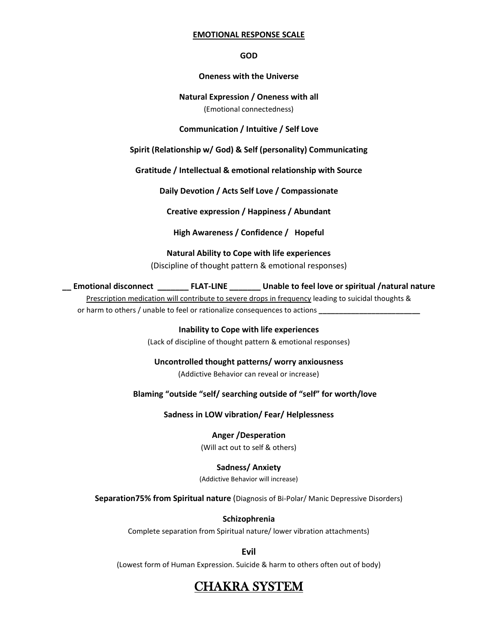#### **EMOTIONAL RESPONSE SCALE**

**GOD**

## **Oneness with the Universe**

## **Natural Expression / Oneness with all** (Emotional connectedness)

### **Communication / Intuitive / Self Love**

**Spirit (Relationship w/ God) & Self (personality) Communicating**

**Gratitude / Intellectual & emotional relationship with Source**

**Daily Devotion / Acts Self Love / Compassionate**

**Creative expression / Happiness / Abundant**

**High Awareness / Confidence / Hopeful**

**Natural Ability to Cope with life experiences**  (Discipline of thought pattern & emotional responses)

**\_\_ Emotional disconnect \_\_\_\_\_\_\_ FLAT-LINE \_\_\_\_\_\_\_ Unable to feel love or spiritual /natural nature**

Prescription medication will contribute to severe drops in frequency leading to suicidal thoughts &

or harm to others / unable to feel or rationalize consequences to actions **\_\_\_\_\_\_\_\_\_\_\_\_\_\_\_\_\_\_\_\_\_\_\_\_\_**

**Inability to Cope with life experiences** (Lack of discipline of thought pattern & emotional responses)

**Uncontrolled thought patterns/ worry anxiousness** (Addictive Behavior can reveal or increase)

 **Blaming "outside "self/ searching outside of "self" for worth/love**

**Sadness in LOW vibration/ Fear/ Helplessness**

**Anger /Desperation**  (Will act out to self & others)

**Sadness/ Anxiety**

(Addictive Behavior will increase)

**Separation75% from Spiritual nature** (Diagnosis of Bi-Polar/ Manic Depressive Disorders)

**Schizophrenia**

Complete separation from Spiritual nature/ lower vibration attachments)

**Evil** 

(Lowest form of Human Expression. Suicide & harm to others often out of body)

# CHAKRA SYSTEM